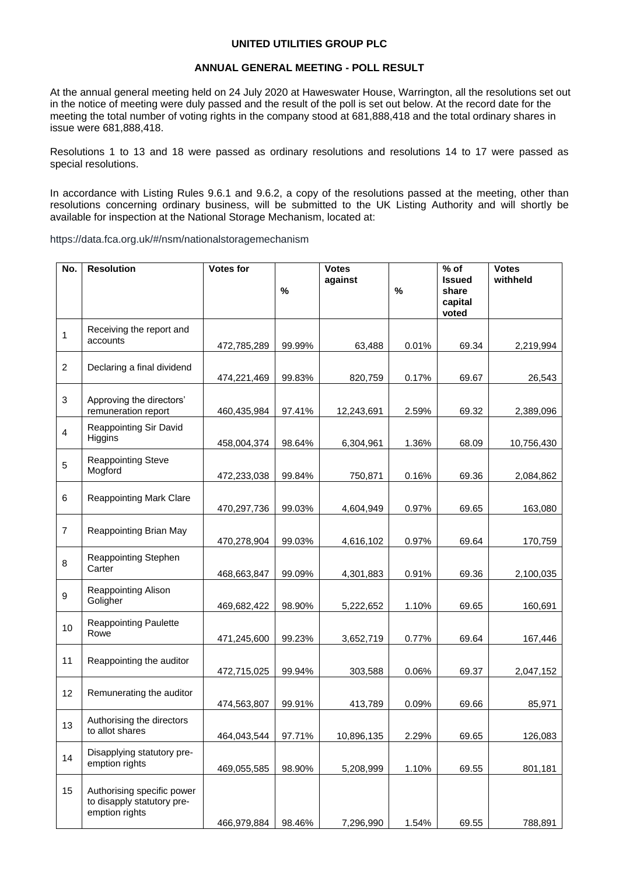## **UNITED UTILITIES GROUP PLC**

## **ANNUAL GENERAL MEETING - POLL RESULT**

At the annual general meeting held on 24 July 2020 at Haweswater House, Warrington, all the resolutions set out in the notice of meeting were duly passed and the result of the poll is set out below. At the record date for the meeting the total number of voting rights in the company stood at 681,888,418 and the total ordinary shares in issue were 681,888,418.

Resolutions 1 to 13 and 18 were passed as ordinary resolutions and resolutions 14 to 17 were passed as special resolutions.

In accordance with Listing Rules 9.6.1 and 9.6.2, a copy of the resolutions passed at the meeting, other than resolutions concerning ordinary business, will be submitted to the UK Listing Authority and will shortly be available for inspection at the National Storage Mechanism, located at:

https://data.fca.org.uk/#/nsm/nationalstoragemechanism

| No.              | <b>Resolution</b>                                                          | <b>Votes for</b> |        | <b>Votes</b> |       | $%$ of                                     | <b>Votes</b> |
|------------------|----------------------------------------------------------------------------|------------------|--------|--------------|-------|--------------------------------------------|--------------|
|                  |                                                                            |                  | $\%$   | against      | $\%$  | <b>Issued</b><br>share<br>capital<br>voted | withheld     |
| 1                | Receiving the report and<br>accounts                                       | 472,785,289      | 99.99% | 63,488       | 0.01% | 69.34                                      | 2,219,994    |
| $\overline{c}$   | Declaring a final dividend                                                 | 474,221,469      | 99.83% | 820,759      | 0.17% | 69.67                                      | 26,543       |
| 3                | Approving the directors'<br>remuneration report                            | 460,435,984      | 97.41% | 12,243,691   | 2.59% | 69.32                                      | 2,389,096    |
| $\overline{4}$   | Reappointing Sir David<br>Higgins                                          | 458,004,374      | 98.64% | 6,304,961    | 1.36% | 68.09                                      | 10,756,430   |
| 5                | <b>Reappointing Steve</b><br>Mogford                                       | 472,233,038      | 99.84% | 750,871      | 0.16% | 69.36                                      | 2,084,862    |
| 6                | <b>Reappointing Mark Clare</b>                                             | 470,297,736      | 99.03% | 4,604,949    | 0.97% | 69.65                                      | 163,080      |
| $\overline{7}$   | Reappointing Brian May                                                     | 470,278,904      | 99.03% | 4,616,102    | 0.97% | 69.64                                      | 170,759      |
| 8                | Reappointing Stephen<br>Carter                                             | 468,663,847      | 99.09% | 4,301,883    | 0.91% | 69.36                                      | 2,100,035    |
| $\boldsymbol{9}$ | Reappointing Alison<br>Goligher                                            | 469,682,422      | 98.90% | 5,222,652    | 1.10% | 69.65                                      | 160,691      |
| 10               | <b>Reappointing Paulette</b><br>Rowe                                       | 471,245,600      | 99.23% | 3,652,719    | 0.77% | 69.64                                      | 167,446      |
| 11               | Reappointing the auditor                                                   | 472,715,025      | 99.94% | 303,588      | 0.06% | 69.37                                      | 2,047,152    |
| 12               | Remunerating the auditor                                                   | 474,563,807      | 99.91% | 413,789      | 0.09% | 69.66                                      | 85,971       |
| 13               | Authorising the directors<br>to allot shares                               | 464,043,544      | 97.71% | 10,896,135   | 2.29% | 69.65                                      | 126,083      |
| 14               | Disapplying statutory pre-<br>emption rights                               | 469,055,585      | 98.90% | 5,208,999    | 1.10% | 69.55                                      | 801,181      |
| 15               | Authorising specific power<br>to disapply statutory pre-<br>emption rights | 466,979,884      | 98.46% | 7,296,990    | 1.54% | 69.55                                      | 788,891      |